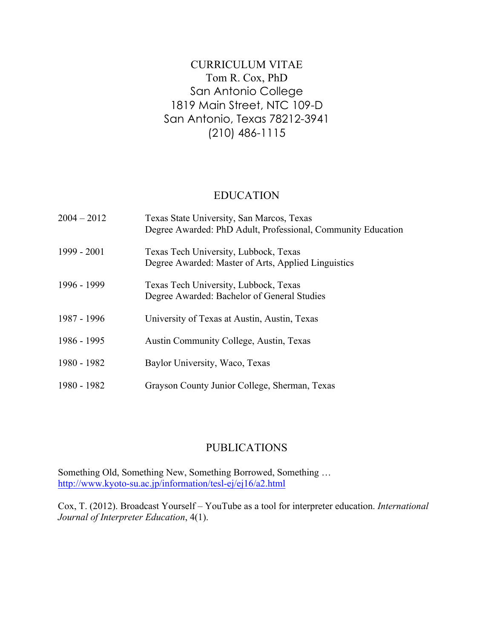## CURRICULUM VITAE Tom R. Cox, PhD San Antonio College 1819 Main Street, NTC 109-D San Antonio, Texas 78212-3941 (210) 486-1115

#### EDUCATION

| $2004 - 2012$ | Texas State University, San Marcos, Texas<br>Degree Awarded: PhD Adult, Professional, Community Education |
|---------------|-----------------------------------------------------------------------------------------------------------|
| 1999 - 2001   | Texas Tech University, Lubbock, Texas<br>Degree Awarded: Master of Arts, Applied Linguistics              |
| 1996 - 1999   | Texas Tech University, Lubbock, Texas<br>Degree Awarded: Bachelor of General Studies                      |
| 1987 - 1996   | University of Texas at Austin, Austin, Texas                                                              |
| 1986 - 1995   | <b>Austin Community College, Austin, Texas</b>                                                            |
| 1980 - 1982   | Baylor University, Waco, Texas                                                                            |
| 1980 - 1982   | Grayson County Junior College, Sherman, Texas                                                             |

#### PUBLICATIONS

Something Old, Something New, Something Borrowed, Something … http://www.kyoto-su.ac.jp/information/tesl-ej/ej16/a2.html

Cox, T. (2012). Broadcast Yourself – YouTube as a tool for interpreter education. *International Journal of Interpreter Education*, 4(1).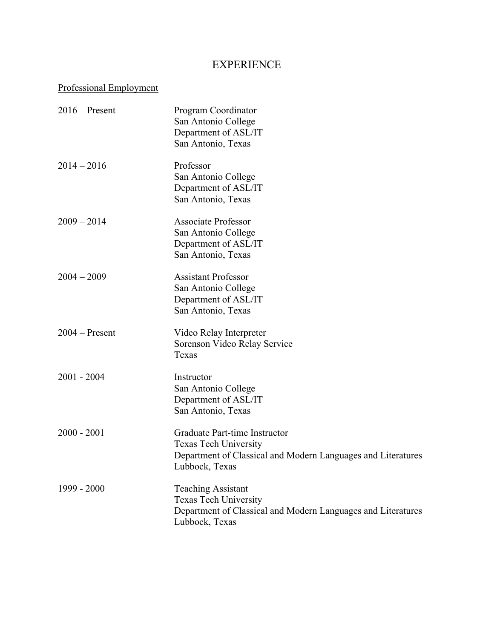### EXPERIENCE

### Professional Employment

| $2016$ – Present | Program Coordinator<br>San Antonio College<br>Department of ASL/IT<br>San Antonio, Texas                                                        |
|------------------|-------------------------------------------------------------------------------------------------------------------------------------------------|
| $2014 - 2016$    | Professor<br>San Antonio College<br>Department of ASL/IT<br>San Antonio, Texas                                                                  |
| $2009 - 2014$    | <b>Associate Professor</b><br>San Antonio College<br>Department of ASL/IT<br>San Antonio, Texas                                                 |
| $2004 - 2009$    | <b>Assistant Professor</b><br>San Antonio College<br>Department of ASL/IT<br>San Antonio, Texas                                                 |
| $2004 -$ Present | Video Relay Interpreter<br>Sorenson Video Relay Service<br>Texas                                                                                |
| $2001 - 2004$    | Instructor<br>San Antonio College<br>Department of ASL/IT<br>San Antonio, Texas                                                                 |
| $2000 - 2001$    | Graduate Part-time Instructor<br><b>Texas Tech University</b><br>Department of Classical and Modern Languages and Literatures<br>Lubbock, Texas |
| 1999 - 2000      | <b>Teaching Assistant</b><br>Texas Tech University<br>Department of Classical and Modern Languages and Literatures<br>Lubbock, Texas            |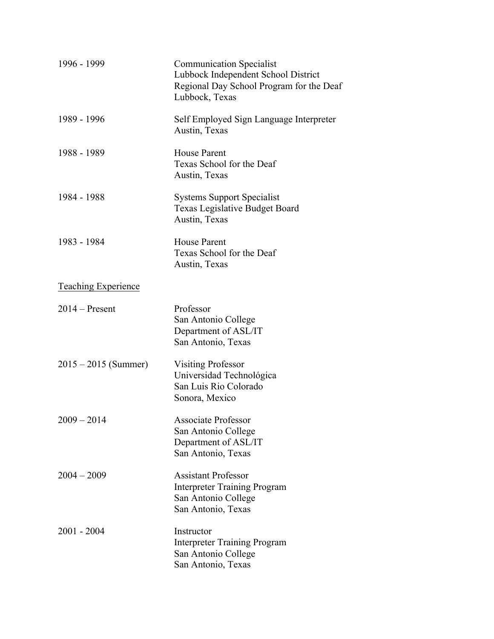| 1996 - 1999                | <b>Communication Specialist</b><br>Lubbock Independent School District<br>Regional Day School Program for the Deaf<br>Lubbock, Texas |
|----------------------------|--------------------------------------------------------------------------------------------------------------------------------------|
| 1989 - 1996                | Self Employed Sign Language Interpreter<br>Austin, Texas                                                                             |
| 1988 - 1989                | <b>House Parent</b><br>Texas School for the Deaf<br>Austin, Texas                                                                    |
| 1984 - 1988                | <b>Systems Support Specialist</b><br><b>Texas Legislative Budget Board</b><br>Austin, Texas                                          |
| 1983 - 1984                | <b>House Parent</b><br>Texas School for the Deaf<br>Austin, Texas                                                                    |
| <b>Teaching Experience</b> |                                                                                                                                      |
| $2014 -$ Present           | Professor<br>San Antonio College<br>Department of ASL/IT<br>San Antonio, Texas                                                       |
| $2015 - 2015$ (Summer)     | <b>Visiting Professor</b><br>Universidad Technológica<br>San Luis Rio Colorado<br>Sonora, Mexico                                     |
| $2009 - 2014$              | <b>Associate Professor</b><br>San Antonio College<br>Department of ASL/IT<br>San Antonio, Texas                                      |
| $2004 - 2009$              | <b>Assistant Professor</b><br><b>Interpreter Training Program</b><br>San Antonio College<br>San Antonio, Texas                       |
| $2001 - 2004$              | Instructor<br><b>Interpreter Training Program</b><br>San Antonio College<br>San Antonio, Texas                                       |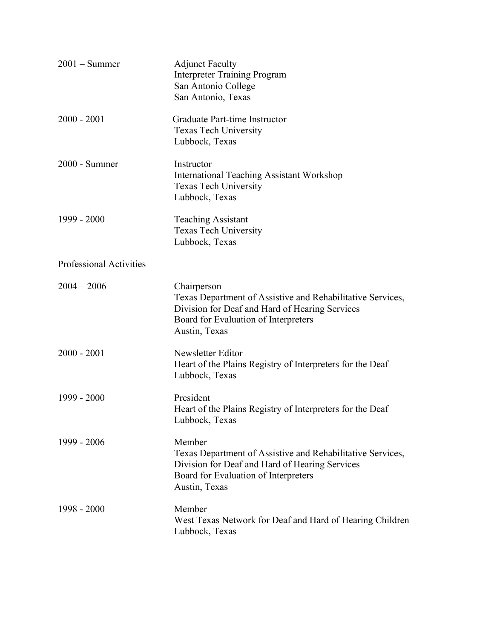| $2001 - Summer$         | <b>Adjunct Faculty</b><br><b>Interpreter Training Program</b><br>San Antonio College<br>San Antonio, Texas                                                                           |
|-------------------------|--------------------------------------------------------------------------------------------------------------------------------------------------------------------------------------|
| $2000 - 2001$           | Graduate Part-time Instructor<br><b>Texas Tech University</b><br>Lubbock, Texas                                                                                                      |
| 2000 - Summer           | Instructor<br><b>International Teaching Assistant Workshop</b><br><b>Texas Tech University</b><br>Lubbock, Texas                                                                     |
| 1999 - 2000             | <b>Teaching Assistant</b><br><b>Texas Tech University</b><br>Lubbock, Texas                                                                                                          |
| Professional Activities |                                                                                                                                                                                      |
| $2004 - 2006$           | Chairperson<br>Texas Department of Assistive and Rehabilitative Services,<br>Division for Deaf and Hard of Hearing Services<br>Board for Evaluation of Interpreters<br>Austin, Texas |
| $2000 - 2001$           | Newsletter Editor<br>Heart of the Plains Registry of Interpreters for the Deaf<br>Lubbock, Texas                                                                                     |
| 1999 - 2000             | President<br>Heart of the Plains Registry of Interpreters for the Deaf<br>Lubbock, Texas                                                                                             |
| 1999 - 2006             | Member<br>Texas Department of Assistive and Rehabilitative Services,<br>Division for Deaf and Hard of Hearing Services<br>Board for Evaluation of Interpreters<br>Austin, Texas      |
| $1998 - 2000$           | Member<br>West Texas Network for Deaf and Hard of Hearing Children<br>Lubbock, Texas                                                                                                 |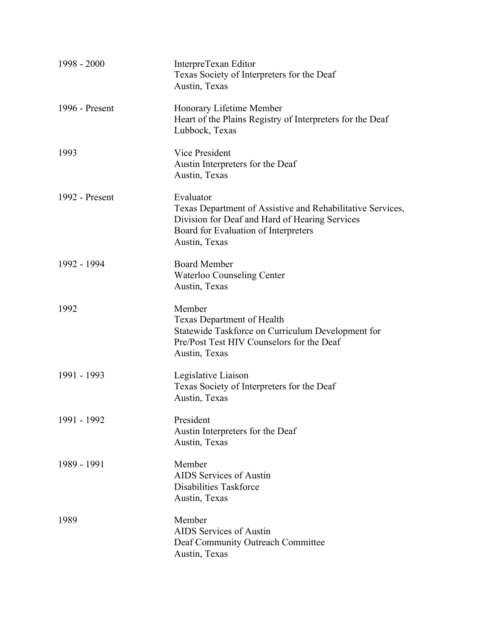| 1998 - 2000    | InterpreTexan Editor<br>Texas Society of Interpreters for the Deaf<br>Austin, Texas                                                                                                |
|----------------|------------------------------------------------------------------------------------------------------------------------------------------------------------------------------------|
| 1996 - Present | Honorary Lifetime Member<br>Heart of the Plains Registry of Interpreters for the Deaf<br>Lubbock, Texas                                                                            |
| 1993           | Vice President<br>Austin Interpreters for the Deaf<br>Austin, Texas                                                                                                                |
| 1992 - Present | Evaluator<br>Texas Department of Assistive and Rehabilitative Services,<br>Division for Deaf and Hard of Hearing Services<br>Board for Evaluation of Interpreters<br>Austin, Texas |
| 1992 - 1994    | <b>Board Member</b><br><b>Waterloo Counseling Center</b><br>Austin, Texas                                                                                                          |
| 1992           | Member<br><b>Texas Department of Health</b><br>Statewide Taskforce on Curriculum Development for<br>Pre/Post Test HIV Counselors for the Deaf<br>Austin, Texas                     |
| 1991 - 1993    | Legislative Liaison<br>Texas Society of Interpreters for the Deaf<br>Austin, Texas                                                                                                 |
| 1991 - 1992    | President<br>Austin Interpreters for the Deaf<br>Austin, Texas                                                                                                                     |
| 1989 - 1991    | Member<br>AIDS Services of Austin<br>Disabilities Taskforce<br>Austin, Texas                                                                                                       |
| 1989           | Member<br>AIDS Services of Austin<br>Deaf Community Outreach Committee<br>Austin, Texas                                                                                            |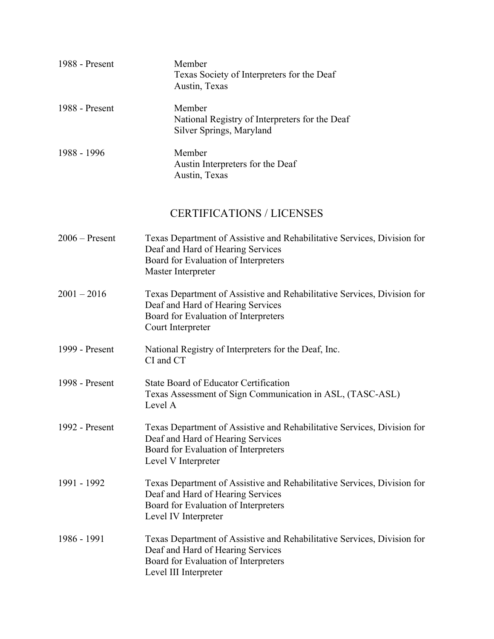| 1988 - Present | Member<br>Texas Society of Interpreters for the Deaf<br>Austin, Texas                |
|----------------|--------------------------------------------------------------------------------------|
| 1988 - Present | Member<br>National Registry of Interpreters for the Deaf<br>Silver Springs, Maryland |
| 1988 - 1996    | Member<br>Austin Interpreters for the Deaf<br>Austin, Texas                          |

### CERTIFICATIONS / LICENSES

| $2006 -$ Present | Texas Department of Assistive and Rehabilitative Services, Division for<br>Deaf and Hard of Hearing Services<br>Board for Evaluation of Interpreters<br>Master Interpreter    |
|------------------|-------------------------------------------------------------------------------------------------------------------------------------------------------------------------------|
| $2001 - 2016$    | Texas Department of Assistive and Rehabilitative Services, Division for<br>Deaf and Hard of Hearing Services<br>Board for Evaluation of Interpreters<br>Court Interpreter     |
| 1999 - Present   | National Registry of Interpreters for the Deaf, Inc.<br>CI and CT                                                                                                             |
| 1998 - Present   | State Board of Educator Certification<br>Texas Assessment of Sign Communication in ASL, (TASC-ASL)<br>Level A                                                                 |
| 1992 - Present   | Texas Department of Assistive and Rehabilitative Services, Division for<br>Deaf and Hard of Hearing Services<br>Board for Evaluation of Interpreters<br>Level V Interpreter   |
| 1991 - 1992      | Texas Department of Assistive and Rehabilitative Services, Division for<br>Deaf and Hard of Hearing Services<br>Board for Evaluation of Interpreters<br>Level IV Interpreter  |
| 1986 - 1991      | Texas Department of Assistive and Rehabilitative Services, Division for<br>Deaf and Hard of Hearing Services<br>Board for Evaluation of Interpreters<br>Level III Interpreter |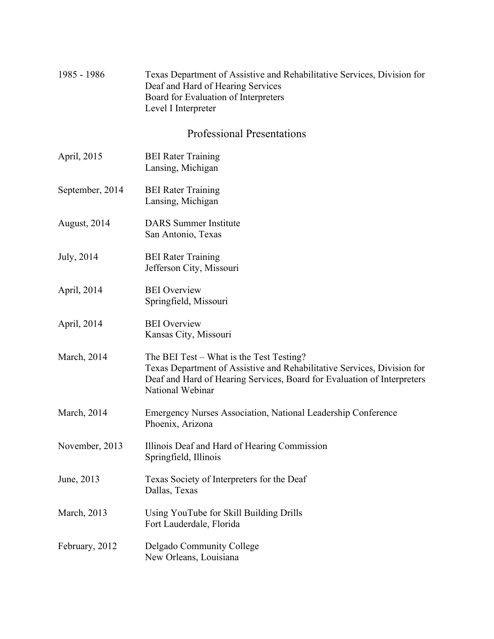#### 1985 - 1986 Texas Department of Assistive and Rehabilitative Services, Division for Deaf and Hard of Hearing Services Board for Evaluation of Interpreters Level I Interpreter

#### Professional Presentations

- April, 2015 BEI Rater Training Lansing, Michigan
- September, 2014 BEI Rater Training Lansing, Michigan
- August, 2014 DARS Summer Institute San Antonio, Texas
- July, 2014 BEI Rater Training Jefferson City, Missouri
- April, 2014 BEI Overview Springfield, Missouri
- April, 2014 BEI Overview Kansas City, Missouri
- March, 2014 The BEI Test What is the Test Testing? Texas Department of Assistive and Rehabilitative Services, Division for Deaf and Hard of Hearing Services, Board for Evaluation of Interpreters National Webinar
- March, 2014 Emergency Nurses Association, National Leadership Conference Phoenix, Arizona
- November, 2013 Illinois Deaf and Hard of Hearing Commission Springfield, Illinois
- June, 2013 Texas Society of Interpreters for the Deaf Dallas, Texas
- March, 2013 Using YouTube for Skill Building Drills Fort Lauderdale, Florida
- February, 2012 Delgado Community College New Orleans, Louisiana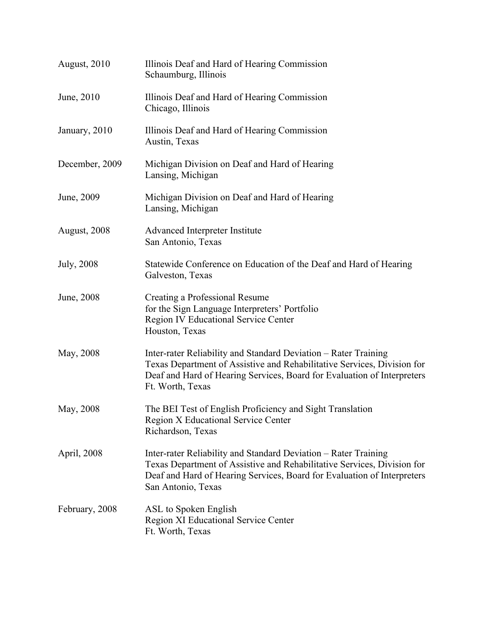| August, 2010       | Illinois Deaf and Hard of Hearing Commission<br>Schaumburg, Illinois                                                                                                                                                                        |
|--------------------|---------------------------------------------------------------------------------------------------------------------------------------------------------------------------------------------------------------------------------------------|
| June, 2010         | Illinois Deaf and Hard of Hearing Commission<br>Chicago, Illinois                                                                                                                                                                           |
| January, 2010      | Illinois Deaf and Hard of Hearing Commission<br>Austin, Texas                                                                                                                                                                               |
| December, 2009     | Michigan Division on Deaf and Hard of Hearing<br>Lansing, Michigan                                                                                                                                                                          |
| June, 2009         | Michigan Division on Deaf and Hard of Hearing<br>Lansing, Michigan                                                                                                                                                                          |
| August, 2008       | Advanced Interpreter Institute<br>San Antonio, Texas                                                                                                                                                                                        |
| <b>July</b> , 2008 | Statewide Conference on Education of the Deaf and Hard of Hearing<br>Galveston, Texas                                                                                                                                                       |
| June, 2008         | Creating a Professional Resume<br>for the Sign Language Interpreters' Portfolio<br><b>Region IV Educational Service Center</b><br>Houston, Texas                                                                                            |
| May, 2008          | Inter-rater Reliability and Standard Deviation – Rater Training<br>Texas Department of Assistive and Rehabilitative Services, Division for<br>Deaf and Hard of Hearing Services, Board for Evaluation of Interpreters<br>Ft. Worth, Texas   |
| May, 2008          | The BEI Test of English Proficiency and Sight Translation<br>Region X Educational Service Center<br>Richardson, Texas                                                                                                                       |
| April, 2008        | Inter-rater Reliability and Standard Deviation – Rater Training<br>Texas Department of Assistive and Rehabilitative Services, Division for<br>Deaf and Hard of Hearing Services, Board for Evaluation of Interpreters<br>San Antonio, Texas |
| February, 2008     | ASL to Spoken English<br><b>Region XI Educational Service Center</b><br>Ft. Worth, Texas                                                                                                                                                    |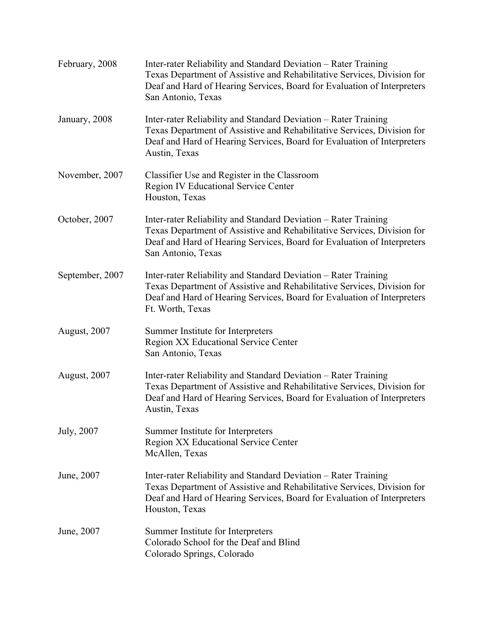| February, 2008  | Inter-rater Reliability and Standard Deviation – Rater Training<br>Texas Department of Assistive and Rehabilitative Services, Division for<br>Deaf and Hard of Hearing Services, Board for Evaluation of Interpreters<br>San Antonio, Texas |
|-----------------|---------------------------------------------------------------------------------------------------------------------------------------------------------------------------------------------------------------------------------------------|
| January, 2008   | Inter-rater Reliability and Standard Deviation – Rater Training<br>Texas Department of Assistive and Rehabilitative Services, Division for<br>Deaf and Hard of Hearing Services, Board for Evaluation of Interpreters<br>Austin, Texas      |
| November, 2007  | Classifier Use and Register in the Classroom<br><b>Region IV Educational Service Center</b><br>Houston, Texas                                                                                                                               |
| October, 2007   | Inter-rater Reliability and Standard Deviation – Rater Training<br>Texas Department of Assistive and Rehabilitative Services, Division for<br>Deaf and Hard of Hearing Services, Board for Evaluation of Interpreters<br>San Antonio, Texas |
| September, 2007 | Inter-rater Reliability and Standard Deviation – Rater Training<br>Texas Department of Assistive and Rehabilitative Services, Division for<br>Deaf and Hard of Hearing Services, Board for Evaluation of Interpreters<br>Ft. Worth, Texas   |
| August, 2007    | Summer Institute for Interpreters<br>Region XX Educational Service Center<br>San Antonio, Texas                                                                                                                                             |
| August, 2007    | Inter-rater Reliability and Standard Deviation - Rater Training<br>Texas Department of Assistive and Rehabilitative Services, Division for<br>Deaf and Hard of Hearing Services, Board for Evaluation of Interpreters<br>Austin, Texas      |
| July, 2007      | Summer Institute for Interpreters<br><b>Region XX Educational Service Center</b><br>McAllen, Texas                                                                                                                                          |
| June, 2007      | Inter-rater Reliability and Standard Deviation - Rater Training<br>Texas Department of Assistive and Rehabilitative Services, Division for<br>Deaf and Hard of Hearing Services, Board for Evaluation of Interpreters<br>Houston, Texas     |
| June, 2007      | Summer Institute for Interpreters<br>Colorado School for the Deaf and Blind<br>Colorado Springs, Colorado                                                                                                                                   |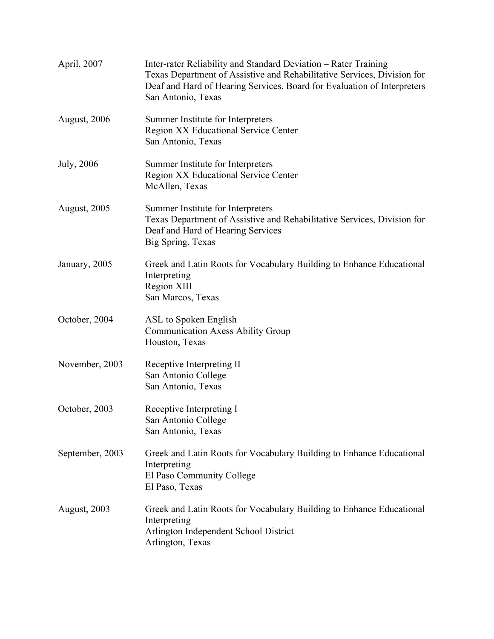| April, 2007         | Inter-rater Reliability and Standard Deviation – Rater Training<br>Texas Department of Assistive and Rehabilitative Services, Division for<br>Deaf and Hard of Hearing Services, Board for Evaluation of Interpreters<br>San Antonio, Texas |
|---------------------|---------------------------------------------------------------------------------------------------------------------------------------------------------------------------------------------------------------------------------------------|
| August, 2006        | Summer Institute for Interpreters<br>Region XX Educational Service Center<br>San Antonio, Texas                                                                                                                                             |
| July, 2006          | Summer Institute for Interpreters<br>Region XX Educational Service Center<br>McAllen, Texas                                                                                                                                                 |
| <b>August, 2005</b> | Summer Institute for Interpreters<br>Texas Department of Assistive and Rehabilitative Services, Division for<br>Deaf and Hard of Hearing Services<br>Big Spring, Texas                                                                      |
| January, 2005       | Greek and Latin Roots for Vocabulary Building to Enhance Educational<br>Interpreting<br>Region XIII<br>San Marcos, Texas                                                                                                                    |
| October, 2004       | ASL to Spoken English<br><b>Communication Axess Ability Group</b><br>Houston, Texas                                                                                                                                                         |
| November, 2003      | Receptive Interpreting II<br>San Antonio College<br>San Antonio, Texas                                                                                                                                                                      |
| October, 2003       | Receptive Interpreting I<br>San Antonio College<br>San Antonio, Texas                                                                                                                                                                       |
| September, 2003     | Greek and Latin Roots for Vocabulary Building to Enhance Educational<br>Interpreting<br>El Paso Community College<br>El Paso, Texas                                                                                                         |
| <b>August, 2003</b> | Greek and Latin Roots for Vocabulary Building to Enhance Educational<br>Interpreting<br>Arlington Independent School District<br>Arlington, Texas                                                                                           |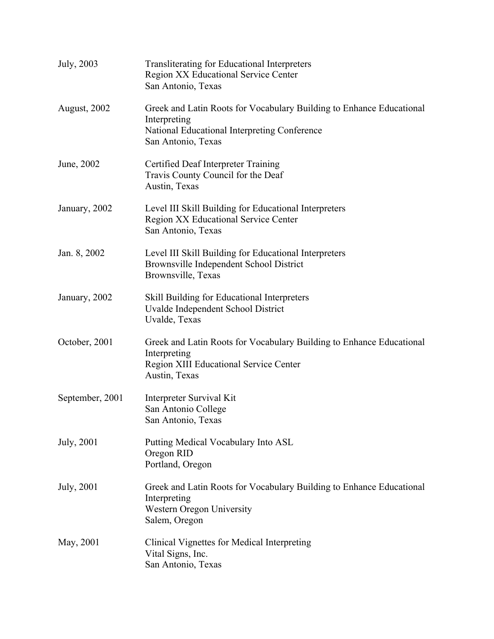| <b>July</b> , 2003  | <b>Transliterating for Educational Interpreters</b><br><b>Region XX Educational Service Center</b><br>San Antonio, Texas                                   |
|---------------------|------------------------------------------------------------------------------------------------------------------------------------------------------------|
| <b>August, 2002</b> | Greek and Latin Roots for Vocabulary Building to Enhance Educational<br>Interpreting<br>National Educational Interpreting Conference<br>San Antonio, Texas |
| June, 2002          | Certified Deaf Interpreter Training<br>Travis County Council for the Deaf<br>Austin, Texas                                                                 |
| January, 2002       | Level III Skill Building for Educational Interpreters<br><b>Region XX Educational Service Center</b><br>San Antonio, Texas                                 |
| Jan. 8, 2002        | Level III Skill Building for Educational Interpreters<br>Brownsville Independent School District<br>Brownsville, Texas                                     |
| January, 2002       | Skill Building for Educational Interpreters<br>Uvalde Independent School District<br>Uvalde, Texas                                                         |
| October, 2001       | Greek and Latin Roots for Vocabulary Building to Enhance Educational<br>Interpreting<br><b>Region XIII Educational Service Center</b><br>Austin, Texas     |
| September, 2001     | Interpreter Survival Kit<br>San Antonio College<br>San Antonio, Texas                                                                                      |
| July, 2001          | Putting Medical Vocabulary Into ASL<br>Oregon RID<br>Portland, Oregon                                                                                      |
| July, 2001          | Greek and Latin Roots for Vocabulary Building to Enhance Educational<br>Interpreting<br>Western Oregon University<br>Salem, Oregon                         |
| May, 2001           | Clinical Vignettes for Medical Interpreting<br>Vital Signs, Inc.<br>San Antonio, Texas                                                                     |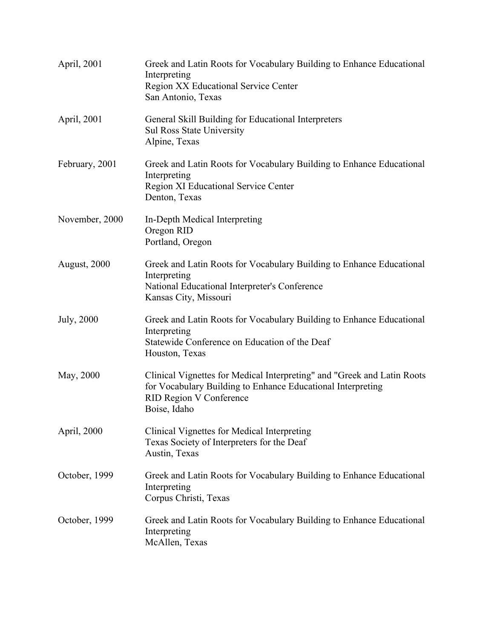| April, 2001    | Greek and Latin Roots for Vocabulary Building to Enhance Educational<br>Interpreting<br><b>Region XX Educational Service Center</b><br>San Antonio, Texas                                |
|----------------|------------------------------------------------------------------------------------------------------------------------------------------------------------------------------------------|
| April, 2001    | General Skill Building for Educational Interpreters<br><b>Sul Ross State University</b><br>Alpine, Texas                                                                                 |
| February, 2001 | Greek and Latin Roots for Vocabulary Building to Enhance Educational<br>Interpreting<br><b>Region XI Educational Service Center</b><br>Denton, Texas                                     |
| November, 2000 | In-Depth Medical Interpreting<br>Oregon RID<br>Portland, Oregon                                                                                                                          |
| August, 2000   | Greek and Latin Roots for Vocabulary Building to Enhance Educational<br>Interpreting<br>National Educational Interpreter's Conference<br>Kansas City, Missouri                           |
| July, 2000     | Greek and Latin Roots for Vocabulary Building to Enhance Educational<br>Interpreting<br>Statewide Conference on Education of the Deaf<br>Houston, Texas                                  |
| May, 2000      | Clinical Vignettes for Medical Interpreting" and "Greek and Latin Roots<br>for Vocabulary Building to Enhance Educational Interpreting<br><b>RID Region V Conference</b><br>Boise, Idaho |
| April, 2000    | Clinical Vignettes for Medical Interpreting<br>Texas Society of Interpreters for the Deaf<br>Austin, Texas                                                                               |
| October, 1999  | Greek and Latin Roots for Vocabulary Building to Enhance Educational<br>Interpreting<br>Corpus Christi, Texas                                                                            |
| October, 1999  | Greek and Latin Roots for Vocabulary Building to Enhance Educational<br>Interpreting<br>McAllen, Texas                                                                                   |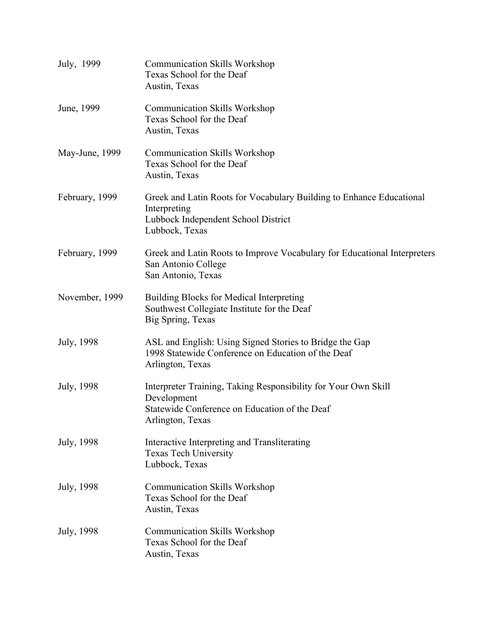| July, 1999     | <b>Communication Skills Workshop</b><br>Texas School for the Deaf<br>Austin, Texas                                                                 |
|----------------|----------------------------------------------------------------------------------------------------------------------------------------------------|
| June, 1999     | <b>Communication Skills Workshop</b><br>Texas School for the Deaf<br>Austin, Texas                                                                 |
| May-June, 1999 | <b>Communication Skills Workshop</b><br>Texas School for the Deaf<br>Austin, Texas                                                                 |
| February, 1999 | Greek and Latin Roots for Vocabulary Building to Enhance Educational<br>Interpreting<br>Lubbock Independent School District<br>Lubbock, Texas      |
| February, 1999 | Greek and Latin Roots to Improve Vocabulary for Educational Interpreters<br>San Antonio College<br>San Antonio, Texas                              |
| November, 1999 | Building Blocks for Medical Interpreting<br>Southwest Collegiate Institute for the Deaf<br>Big Spring, Texas                                       |
| July, 1998     | ASL and English: Using Signed Stories to Bridge the Gap<br>1998 Statewide Conference on Education of the Deaf<br>Arlington, Texas                  |
| July, 1998     | Interpreter Training, Taking Responsibility for Your Own Skill<br>Development<br>Statewide Conference on Education of the Deaf<br>Arlington, Texas |
| July, 1998     | Interactive Interpreting and Transliterating<br><b>Texas Tech University</b><br>Lubbock, Texas                                                     |
| July, 1998     | <b>Communication Skills Workshop</b><br>Texas School for the Deaf<br>Austin, Texas                                                                 |
| July, 1998     | <b>Communication Skills Workshop</b><br>Texas School for the Deaf<br>Austin, Texas                                                                 |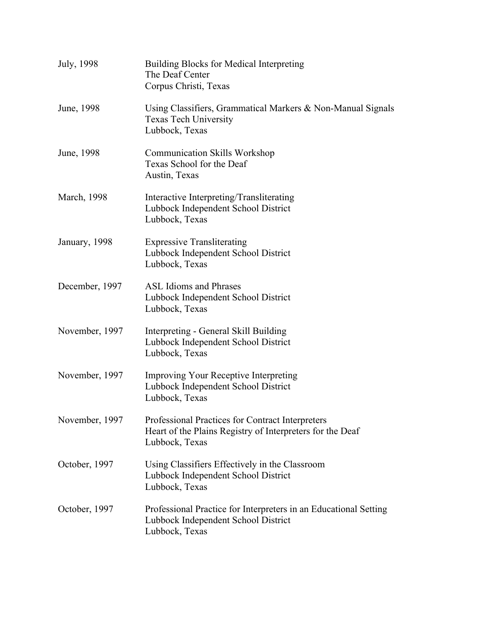| July, 1998     | <b>Building Blocks for Medical Interpreting</b><br>The Deaf Center<br>Corpus Christi, Texas                                     |
|----------------|---------------------------------------------------------------------------------------------------------------------------------|
| June, 1998     | Using Classifiers, Grammatical Markers & Non-Manual Signals<br>Texas Tech University<br>Lubbock, Texas                          |
| June, 1998     | <b>Communication Skills Workshop</b><br>Texas School for the Deaf<br>Austin, Texas                                              |
| March, 1998    | Interactive Interpreting/Transliterating<br>Lubbock Independent School District<br>Lubbock, Texas                               |
| January, 1998  | <b>Expressive Transliterating</b><br>Lubbock Independent School District<br>Lubbock, Texas                                      |
| December, 1997 | <b>ASL Idioms and Phrases</b><br>Lubbock Independent School District<br>Lubbock, Texas                                          |
| November, 1997 | Interpreting - General Skill Building<br>Lubbock Independent School District<br>Lubbock, Texas                                  |
| November, 1997 | <b>Improving Your Receptive Interpreting</b><br>Lubbock Independent School District<br>Lubbock, Texas                           |
| November, 1997 | Professional Practices for Contract Interpreters<br>Heart of the Plains Registry of Interpreters for the Deaf<br>Lubbock, Texas |
| October, 1997  | Using Classifiers Effectively in the Classroom<br>Lubbock Independent School District<br>Lubbock, Texas                         |
| October, 1997  | Professional Practice for Interpreters in an Educational Setting<br>Lubbock Independent School District<br>Lubbock, Texas       |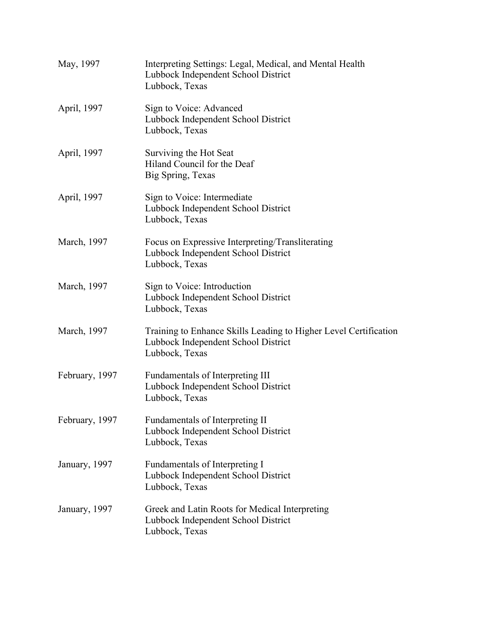| May, 1997      | Interpreting Settings: Legal, Medical, and Mental Health<br>Lubbock Independent School District<br>Lubbock, Texas         |
|----------------|---------------------------------------------------------------------------------------------------------------------------|
| April, 1997    | Sign to Voice: Advanced<br>Lubbock Independent School District<br>Lubbock, Texas                                          |
| April, 1997    | Surviving the Hot Seat<br>Hiland Council for the Deaf<br>Big Spring, Texas                                                |
| April, 1997    | Sign to Voice: Intermediate<br>Lubbock Independent School District<br>Lubbock, Texas                                      |
| March, 1997    | Focus on Expressive Interpreting/Transliterating<br>Lubbock Independent School District<br>Lubbock, Texas                 |
| March, 1997    | Sign to Voice: Introduction<br>Lubbock Independent School District<br>Lubbock, Texas                                      |
| March, 1997    | Training to Enhance Skills Leading to Higher Level Certification<br>Lubbock Independent School District<br>Lubbock, Texas |
| February, 1997 | Fundamentals of Interpreting III<br>Lubbock Independent School District<br>Lubbock, Texas                                 |
| February, 1997 | Fundamentals of Interpreting II<br>Lubbock Independent School District<br>Lubbock, Texas                                  |
| January, 1997  | Fundamentals of Interpreting I<br>Lubbock Independent School District<br>Lubbock, Texas                                   |
| January, 1997  | Greek and Latin Roots for Medical Interpreting<br>Lubbock Independent School District<br>Lubbock, Texas                   |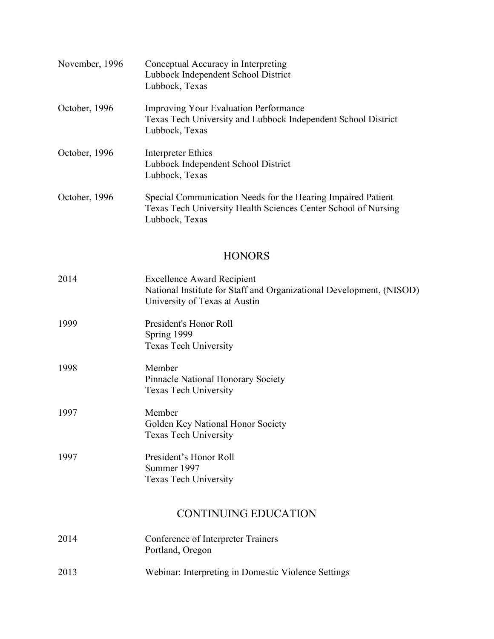| November, 1996 | Conceptual Accuracy in Interpreting<br>Lubbock Independent School District<br>Lubbock, Texas                                                     |
|----------------|--------------------------------------------------------------------------------------------------------------------------------------------------|
| October, 1996  | <b>Improving Your Evaluation Performance</b><br>Texas Tech University and Lubbock Independent School District<br>Lubbock, Texas                  |
| October, 1996  | Interpreter Ethics<br>Lubbock Independent School District<br>Lubbock, Texas                                                                      |
| October, 1996  | Special Communication Needs for the Hearing Impaired Patient<br>Texas Tech University Health Sciences Center School of Nursing<br>Lubbock, Texas |

# **HONORS**

| 2014 | <b>Excellence Award Recipient</b><br>National Institute for Staff and Organizational Development, (NISOD)<br>University of Texas at Austin |
|------|--------------------------------------------------------------------------------------------------------------------------------------------|
| 1999 | President's Honor Roll<br>Spring 1999<br><b>Texas Tech University</b>                                                                      |
| 1998 | Member<br><b>Pinnacle National Honorary Society</b><br><b>Texas Tech University</b>                                                        |
| 1997 | Member<br>Golden Key National Honor Society<br><b>Texas Tech University</b>                                                                |
| 1997 | President's Honor Roll<br>Summer 1997<br><b>Texas Tech University</b>                                                                      |
|      | <b>CONTINUING EDUCATION</b>                                                                                                                |
| 2014 | Conference of Interpreter Trainers<br>Portland, Oregon                                                                                     |
| 2013 | Webinar: Interpreting in Domestic Violence Settings                                                                                        |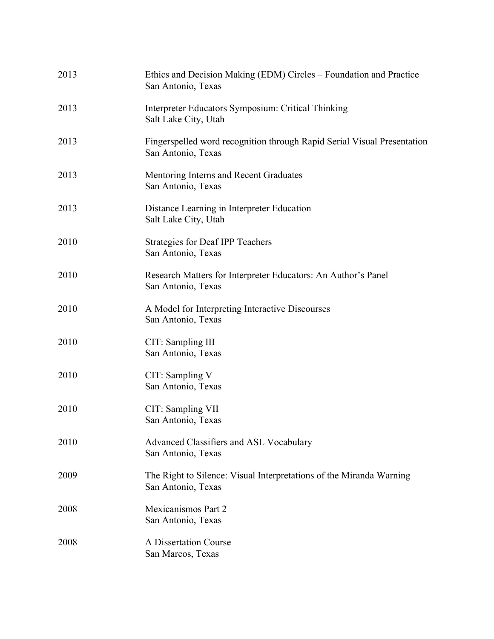| 2013 | Ethics and Decision Making (EDM) Circles – Foundation and Practice<br>San Antonio, Texas      |
|------|-----------------------------------------------------------------------------------------------|
| 2013 | Interpreter Educators Symposium: Critical Thinking<br>Salt Lake City, Utah                    |
| 2013 | Fingerspelled word recognition through Rapid Serial Visual Presentation<br>San Antonio, Texas |
| 2013 | Mentoring Interns and Recent Graduates<br>San Antonio, Texas                                  |
| 2013 | Distance Learning in Interpreter Education<br>Salt Lake City, Utah                            |
| 2010 | <b>Strategies for Deaf IPP Teachers</b><br>San Antonio, Texas                                 |
| 2010 | Research Matters for Interpreter Educators: An Author's Panel<br>San Antonio, Texas           |
| 2010 | A Model for Interpreting Interactive Discourses<br>San Antonio, Texas                         |
| 2010 | CIT: Sampling III<br>San Antonio, Texas                                                       |
| 2010 | CIT: Sampling V<br>San Antonio, Texas                                                         |
| 2010 | CIT: Sampling VII<br>San Antonio, Texas                                                       |
| 2010 | Advanced Classifiers and ASL Vocabulary<br>San Antonio, Texas                                 |
| 2009 | The Right to Silence: Visual Interpretations of the Miranda Warning<br>San Antonio, Texas     |
| 2008 | Mexicanismos Part 2<br>San Antonio, Texas                                                     |
| 2008 | A Dissertation Course<br>San Marcos, Texas                                                    |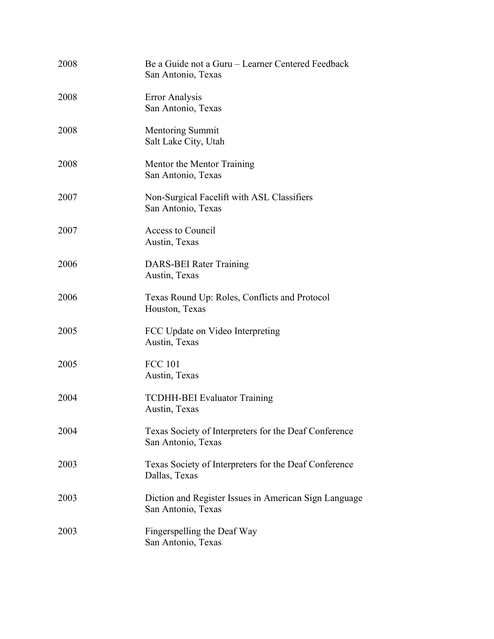| 2008 | Be a Guide not a Guru – Learner Centered Feedback<br>San Antonio, Texas     |
|------|-----------------------------------------------------------------------------|
| 2008 | <b>Error Analysis</b><br>San Antonio, Texas                                 |
| 2008 | <b>Mentoring Summit</b><br>Salt Lake City, Utah                             |
| 2008 | Mentor the Mentor Training<br>San Antonio, Texas                            |
| 2007 | Non-Surgical Facelift with ASL Classifiers<br>San Antonio, Texas            |
| 2007 | Access to Council<br>Austin, Texas                                          |
| 2006 | DARS-BEI Rater Training<br>Austin, Texas                                    |
| 2006 | Texas Round Up: Roles, Conflicts and Protocol<br>Houston, Texas             |
| 2005 | FCC Update on Video Interpreting<br>Austin, Texas                           |
| 2005 | <b>FCC 101</b><br>Austin, Texas                                             |
| 2004 | <b>TCDHH-BEI Evaluator Training</b><br>Austin, Texas                        |
| 2004 | Texas Society of Interpreters for the Deaf Conference<br>San Antonio, Texas |
| 2003 | Texas Society of Interpreters for the Deaf Conference<br>Dallas, Texas      |
| 2003 | Diction and Register Issues in American Sign Language<br>San Antonio, Texas |
| 2003 | Fingerspelling the Deaf Way<br>San Antonio, Texas                           |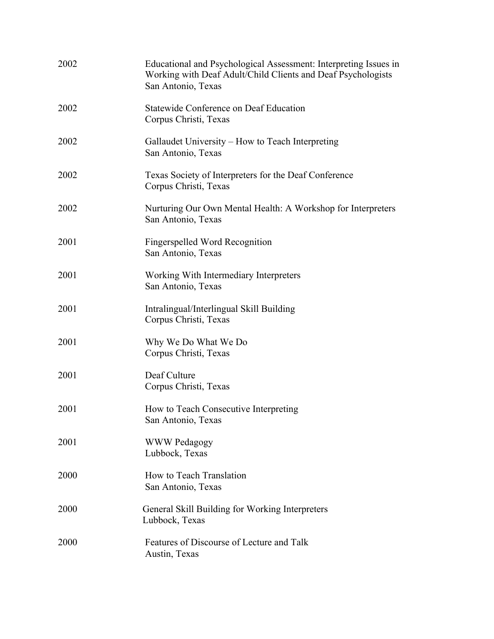| 2002 | Educational and Psychological Assessment: Interpreting Issues in<br>Working with Deaf Adult/Child Clients and Deaf Psychologists<br>San Antonio, Texas |
|------|--------------------------------------------------------------------------------------------------------------------------------------------------------|
| 2002 | Statewide Conference on Deaf Education<br>Corpus Christi, Texas                                                                                        |
| 2002 | Gallaudet University – How to Teach Interpreting<br>San Antonio, Texas                                                                                 |
| 2002 | Texas Society of Interpreters for the Deaf Conference<br>Corpus Christi, Texas                                                                         |
| 2002 | Nurturing Our Own Mental Health: A Workshop for Interpreters<br>San Antonio, Texas                                                                     |
| 2001 | Fingerspelled Word Recognition<br>San Antonio, Texas                                                                                                   |
| 2001 | Working With Intermediary Interpreters<br>San Antonio, Texas                                                                                           |
| 2001 | Intralingual/Interlingual Skill Building<br>Corpus Christi, Texas                                                                                      |
| 2001 | Why We Do What We Do<br>Corpus Christi, Texas                                                                                                          |
| 2001 | Deaf Culture<br>Corpus Christi, Texas                                                                                                                  |
| 2001 | How to Teach Consecutive Interpreting<br>San Antonio, Texas                                                                                            |
| 2001 | <b>WWW Pedagogy</b><br>Lubbock, Texas                                                                                                                  |
| 2000 | How to Teach Translation<br>San Antonio, Texas                                                                                                         |
| 2000 | General Skill Building for Working Interpreters<br>Lubbock, Texas                                                                                      |
| 2000 | Features of Discourse of Lecture and Talk<br>Austin, Texas                                                                                             |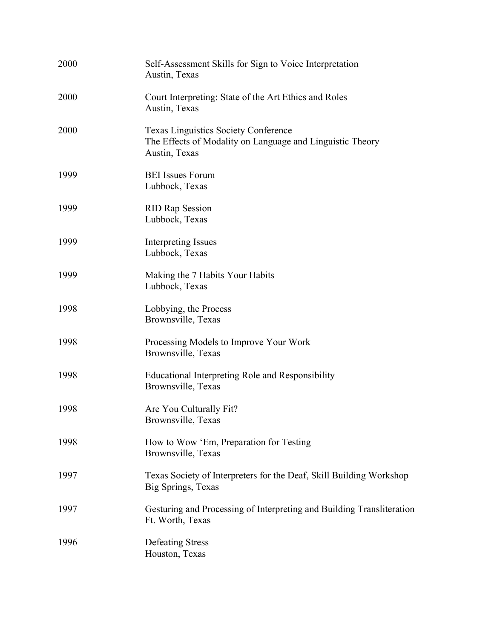| 2000 | Self-Assessment Skills for Sign to Voice Interpretation<br>Austin, Texas                                                  |
|------|---------------------------------------------------------------------------------------------------------------------------|
| 2000 | Court Interpreting: State of the Art Ethics and Roles<br>Austin, Texas                                                    |
| 2000 | <b>Texas Linguistics Society Conference</b><br>The Effects of Modality on Language and Linguistic Theory<br>Austin, Texas |
| 1999 | <b>BEI</b> Issues Forum<br>Lubbock, Texas                                                                                 |
| 1999 | <b>RID Rap Session</b><br>Lubbock, Texas                                                                                  |
| 1999 | Interpreting Issues<br>Lubbock, Texas                                                                                     |
| 1999 | Making the 7 Habits Your Habits<br>Lubbock, Texas                                                                         |
| 1998 | Lobbying, the Process<br>Brownsville, Texas                                                                               |
| 1998 | Processing Models to Improve Your Work<br>Brownsville, Texas                                                              |
| 1998 | Educational Interpreting Role and Responsibility<br>Brownsville, Texas                                                    |
| 1998 | Are You Culturally Fit?<br>Brownsville, Texas                                                                             |
| 1998 | How to Wow 'Em, Preparation for Testing<br>Brownsville, Texas                                                             |
| 1997 | Texas Society of Interpreters for the Deaf, Skill Building Workshop<br>Big Springs, Texas                                 |
| 1997 | Gesturing and Processing of Interpreting and Building Transliteration<br>Ft. Worth, Texas                                 |
| 1996 | <b>Defeating Stress</b><br>Houston, Texas                                                                                 |